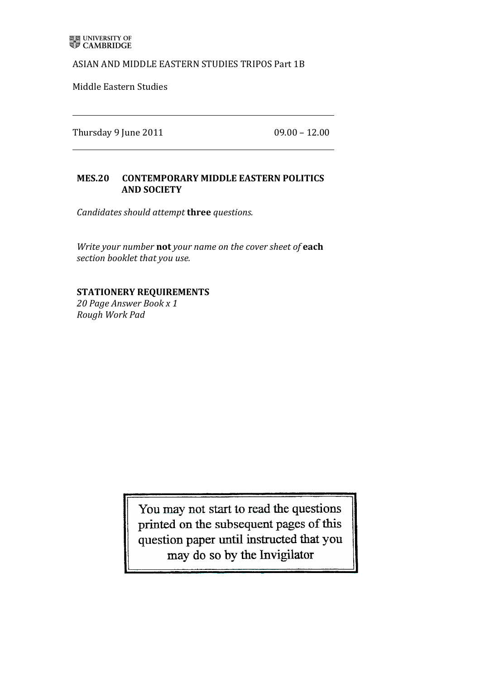## ASIAN AND MIDDLE EASTERN STUDIES TRIPOS Part 1B

Middle Eastern Studies

Thursday 9 June 2011  $\sqrt{0.90} - 12.00$ 

## MES.20 CONTEMPORARY MIDDLE EASTERN POLITICS **'''''''''''''''''''''AND'SOCIETY**

*Candidates)should)attempt)***three'***questions.*

*Write your number* not *your name on the cover sheet of* each *section booklet that)you)use.*

## **STATIONERY'REQUIREMENTS**

*20)Page)Answer)Book)x)1 Rough)Work)Pad*

> You may not start to read the questions printed on the subsequent pages of this question paper until instructed that you may do so by the Invigilator